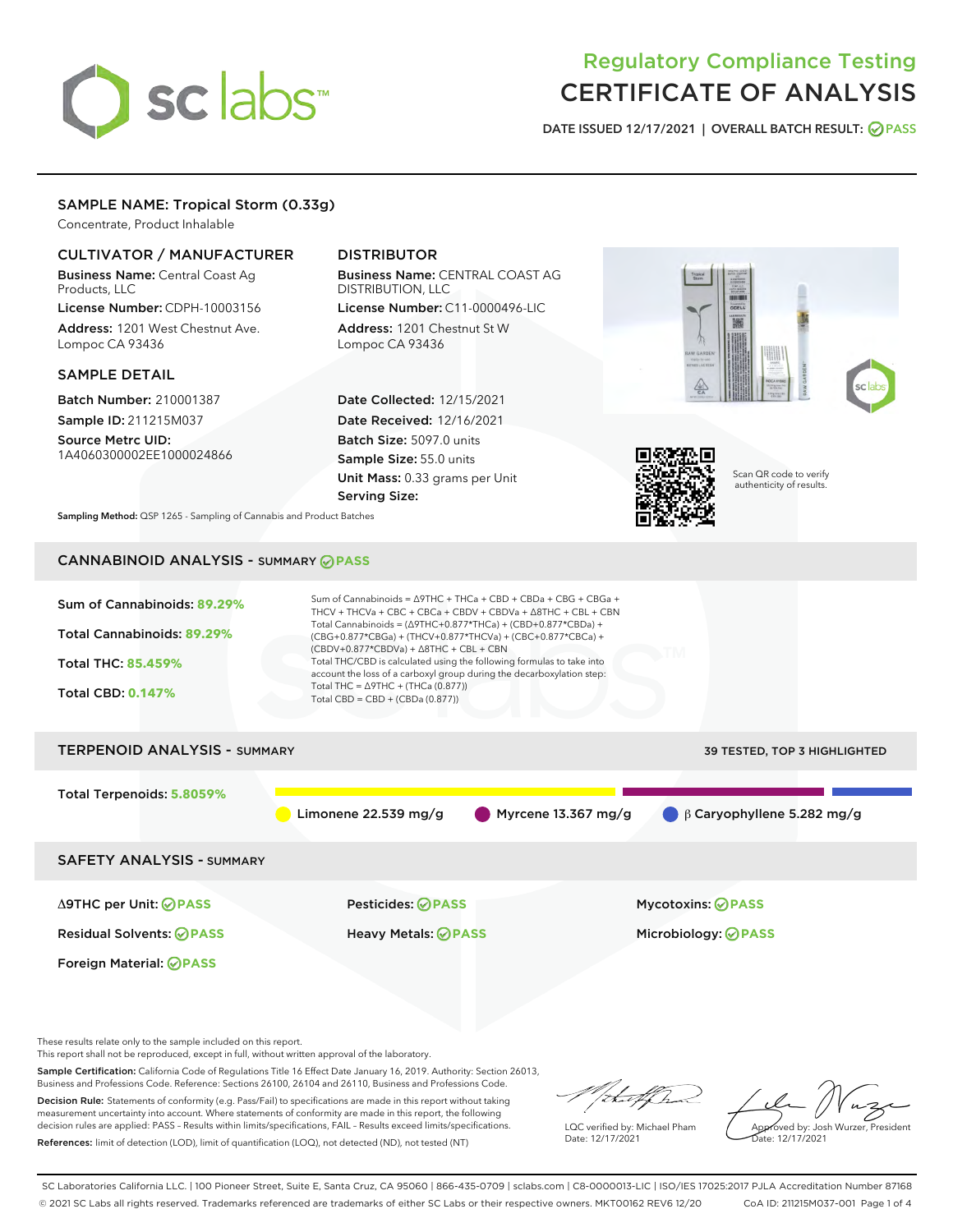# sclabs<sup>\*</sup>

# Regulatory Compliance Testing CERTIFICATE OF ANALYSIS

DATE ISSUED 12/17/2021 | OVERALL BATCH RESULT: @ PASS

# SAMPLE NAME: Tropical Storm (0.33g)

Concentrate, Product Inhalable

# CULTIVATOR / MANUFACTURER

Business Name: Central Coast Ag Products, LLC

License Number: CDPH-10003156 Address: 1201 West Chestnut Ave. Lompoc CA 93436

#### SAMPLE DETAIL

Batch Number: 210001387 Sample ID: 211215M037

Source Metrc UID: 1A4060300002EE1000024866

# DISTRIBUTOR

Business Name: CENTRAL COAST AG DISTRIBUTION, LLC License Number: C11-0000496-LIC

Address: 1201 Chestnut St W Lompoc CA 93436

Date Collected: 12/15/2021 Date Received: 12/16/2021 Batch Size: 5097.0 units Sample Size: 55.0 units Unit Mass: 0.33 grams per Unit Serving Size:





Scan QR code to verify authenticity of results.

Sampling Method: QSP 1265 - Sampling of Cannabis and Product Batches

# CANNABINOID ANALYSIS - SUMMARY **PASS**

| Sum of Cannabinoids: 89.29%<br>Total Cannabinoids: 89.29%<br>Total THC: 85.459%<br><b>Total CBD: 0.147%</b> | Sum of Cannabinoids = $\triangle$ 9THC + THCa + CBD + CBDa + CBG + CBGa +<br>THCV + THCVa + CBC + CBCa + CBDV + CBDVa + $\Delta$ 8THC + CBL + CBN<br>Total Cannabinoids = ( $\triangle$ 9THC+0.877*THCa) + (CBD+0.877*CBDa) +<br>(CBG+0.877*CBGa) + (THCV+0.877*THCVa) + (CBC+0.877*CBCa) +<br>$(CBDV+0.877*CBDVa) + \Delta 8THC + CBL + CBN$<br>Total THC/CBD is calculated using the following formulas to take into<br>account the loss of a carboxyl group during the decarboxylation step:<br>Total THC = $\triangle$ 9THC + (THCa (0.877))<br>Total CBD = $CBD + (CBDa (0.877))$ |                                             |  |  |  |
|-------------------------------------------------------------------------------------------------------------|----------------------------------------------------------------------------------------------------------------------------------------------------------------------------------------------------------------------------------------------------------------------------------------------------------------------------------------------------------------------------------------------------------------------------------------------------------------------------------------------------------------------------------------------------------------------------------------|---------------------------------------------|--|--|--|
| <b>TERPENOID ANALYSIS - SUMMARY</b>                                                                         |                                                                                                                                                                                                                                                                                                                                                                                                                                                                                                                                                                                        | 39 TESTED, TOP 3 HIGHLIGHTED                |  |  |  |
| Total Terpenoids: 5.8059%                                                                                   | $\blacksquare$ Myrcene 13.367 mg/g<br>Limonene $22.539$ mg/g                                                                                                                                                                                                                                                                                                                                                                                                                                                                                                                           | $\bigcirc$ $\beta$ Caryophyllene 5.282 mg/g |  |  |  |
| <b>SAFETY ANALYSIS - SUMMARY</b>                                                                            |                                                                                                                                                                                                                                                                                                                                                                                                                                                                                                                                                                                        |                                             |  |  |  |
| ∆9THC per Unit: ⊘PASS                                                                                       | Pesticides: ⊘PASS                                                                                                                                                                                                                                                                                                                                                                                                                                                                                                                                                                      | <b>Mycotoxins: ⊘PASS</b>                    |  |  |  |

Residual Solvents: **PASS** Heavy Metals: **PASS** Microbiology: **PASS**

These results relate only to the sample included on this report.

Foreign Material: **PASS**

This report shall not be reproduced, except in full, without written approval of the laboratory.

Sample Certification: California Code of Regulations Title 16 Effect Date January 16, 2019. Authority: Section 26013, Business and Professions Code. Reference: Sections 26100, 26104 and 26110, Business and Professions Code.

Decision Rule: Statements of conformity (e.g. Pass/Fail) to specifications are made in this report without taking measurement uncertainty into account. Where statements of conformity are made in this report, the following decision rules are applied: PASS – Results within limits/specifications, FAIL – Results exceed limits/specifications. References: limit of detection (LOD), limit of quantification (LOQ), not detected (ND), not tested (NT)

that f ha

LQC verified by: Michael Pham Date: 12/17/2021

Approved by: Josh Wurzer, President ate: 12/17/2021

SC Laboratories California LLC. | 100 Pioneer Street, Suite E, Santa Cruz, CA 95060 | 866-435-0709 | sclabs.com | C8-0000013-LIC | ISO/IES 17025:2017 PJLA Accreditation Number 87168 © 2021 SC Labs all rights reserved. Trademarks referenced are trademarks of either SC Labs or their respective owners. MKT00162 REV6 12/20 CoA ID: 211215M037-001 Page 1 of 4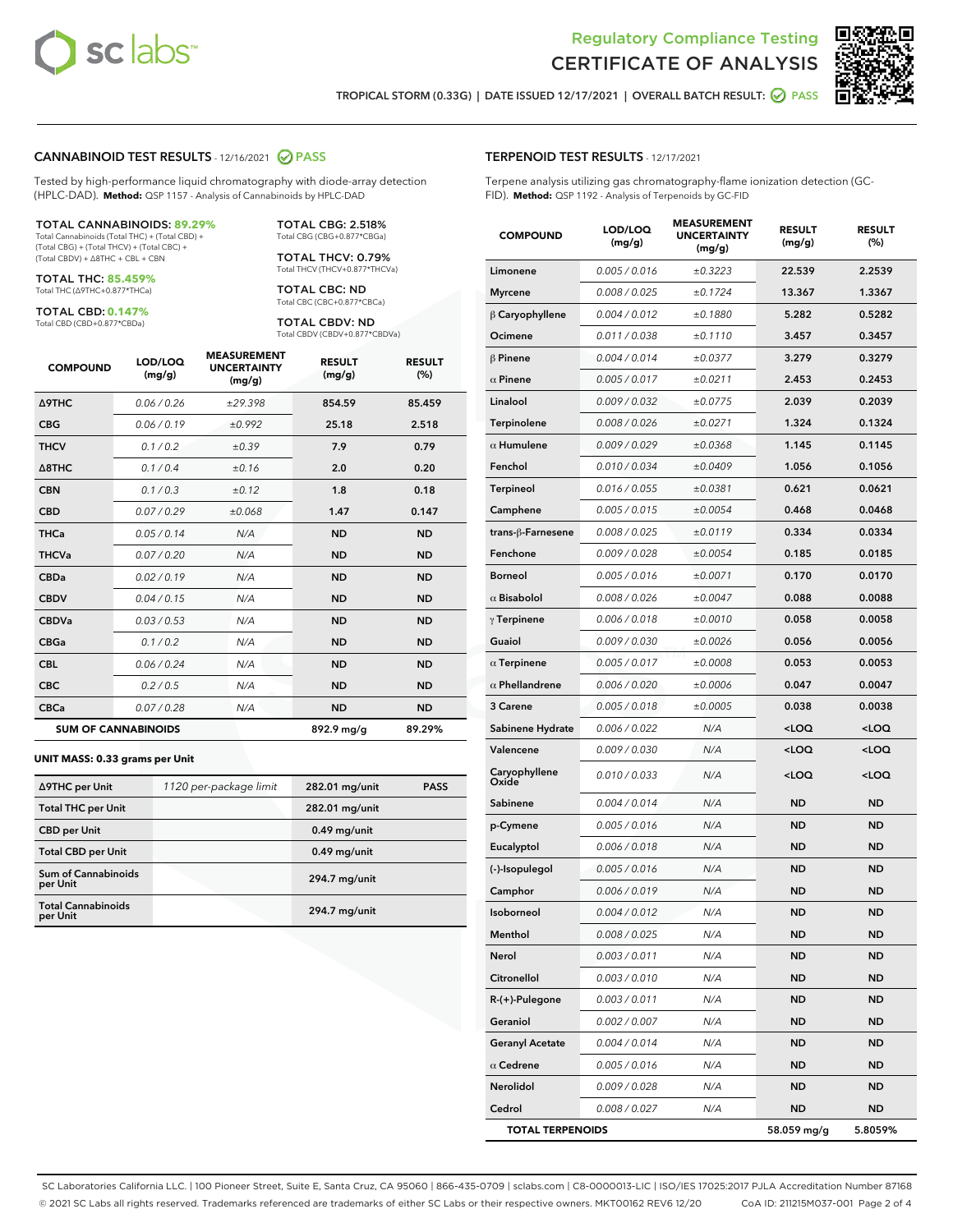



TROPICAL STORM (0.33G) | DATE ISSUED 12/17/2021 | OVERALL BATCH RESULT: **@** PASS

#### CANNABINOID TEST RESULTS - 12/16/2021 2 PASS

Tested by high-performance liquid chromatography with diode-array detection (HPLC-DAD). **Method:** QSP 1157 - Analysis of Cannabinoids by HPLC-DAD

#### TOTAL CANNABINOIDS: **89.29%**

Total Cannabinoids (Total THC) + (Total CBD) + (Total CBG) + (Total THCV) + (Total CBC) + (Total CBDV) + ∆8THC + CBL + CBN

TOTAL THC: **85.459%** Total THC (∆9THC+0.877\*THCa)

TOTAL CBD: **0.147%**

Total CBD (CBD+0.877\*CBDa)

TOTAL CBG: 2.518% Total CBG (CBG+0.877\*CBGa)

TOTAL THCV: 0.79% Total THCV (THCV+0.877\*THCVa)

TOTAL CBC: ND Total CBC (CBC+0.877\*CBCa)

TOTAL CBDV: ND Total CBDV (CBDV+0.877\*CBDVa)

| <b>COMPOUND</b>            | LOD/LOQ<br>(mg/g) | <b>MEASUREMENT</b><br><b>UNCERTAINTY</b><br>(mg/g) | <b>RESULT</b><br>(mg/g) | <b>RESULT</b><br>(%) |
|----------------------------|-------------------|----------------------------------------------------|-------------------------|----------------------|
| <b>A9THC</b>               | 0.06/0.26         | ±29.398                                            | 854.59                  | 85.459               |
| <b>CBG</b>                 | 0.06/0.19         | ±0.992                                             | 25.18                   | 2.518                |
| <b>THCV</b>                | 0.1/0.2           | ±0.39                                              | 7.9                     | 0.79                 |
| $\triangle$ 8THC           | 0.1/0.4           | ±0.16                                              | 2.0                     | 0.20                 |
| <b>CBN</b>                 | 0.1/0.3           | ±0.12                                              | 1.8                     | 0.18                 |
| <b>CBD</b>                 | 0.07/0.29         | ±0.068                                             | 1.47                    | 0.147                |
| <b>THCa</b>                | 0.05/0.14         | N/A                                                | <b>ND</b>               | <b>ND</b>            |
| <b>THCVa</b>               | 0.07/0.20         | N/A                                                | <b>ND</b>               | <b>ND</b>            |
| <b>CBDa</b>                | 0.02/0.19         | N/A                                                | <b>ND</b>               | <b>ND</b>            |
| <b>CBDV</b>                | 0.04/0.15         | N/A                                                | <b>ND</b>               | <b>ND</b>            |
| <b>CBDVa</b>               | 0.03 / 0.53       | N/A                                                | <b>ND</b>               | <b>ND</b>            |
| <b>CBGa</b>                | 0.1/0.2           | N/A                                                | <b>ND</b>               | <b>ND</b>            |
| <b>CBL</b>                 | 0.06 / 0.24       | N/A                                                | <b>ND</b>               | <b>ND</b>            |
| <b>CBC</b>                 | 0.2 / 0.5         | N/A                                                | <b>ND</b>               | <b>ND</b>            |
| <b>CBCa</b>                | 0.07/0.28         | N/A                                                | <b>ND</b>               | <b>ND</b>            |
| <b>SUM OF CANNABINOIDS</b> |                   |                                                    | 892.9 mg/g              | 89.29%               |

#### **UNIT MASS: 0.33 grams per Unit**

| ∆9THC per Unit                         | 1120 per-package limit | 282.01 mg/unit  | <b>PASS</b> |
|----------------------------------------|------------------------|-----------------|-------------|
| <b>Total THC per Unit</b>              |                        | 282.01 mg/unit  |             |
| <b>CBD per Unit</b>                    |                        | $0.49$ mg/unit  |             |
| <b>Total CBD per Unit</b>              |                        | $0.49$ mg/unit  |             |
| <b>Sum of Cannabinoids</b><br>per Unit |                        | 294.7 mg/unit   |             |
| <b>Total Cannabinoids</b><br>per Unit  |                        | $294.7$ mg/unit |             |

| <b>COMPOUND</b>         | LOD/LOQ<br>(mg/g) | <b>MEASUREMENT</b><br><b>UNCERTAINTY</b><br>(mg/g) | <b>RESULT</b><br>(mg/g)                         | <b>RESULT</b><br>(%) |
|-------------------------|-------------------|----------------------------------------------------|-------------------------------------------------|----------------------|
| Limonene                | 0.005 / 0.016     | ±0.3223                                            | 22.539                                          | 2.2539               |
| <b>Myrcene</b>          | 0.008 / 0.025     | ±0.1724                                            | 13.367                                          | 1.3367               |
| $\beta$ Caryophyllene   | 0.004 / 0.012     | ±0.1880                                            | 5.282                                           | 0.5282               |
| Ocimene                 | 0.011 / 0.038     | ±0.1110                                            | 3.457                                           | 0.3457               |
| $\beta$ Pinene          | 0.004 / 0.014     | ±0.0377                                            | 3.279                                           | 0.3279               |
| $\alpha$ Pinene         | 0.005 / 0.017     | ±0.0211                                            | 2.453                                           | 0.2453               |
| Linalool                | 0.009 / 0.032     | ±0.0775                                            | 2.039                                           | 0.2039               |
| Terpinolene             | 0.008 / 0.026     | ±0.0271                                            | 1.324                                           | 0.1324               |
| $\alpha$ Humulene       | 0.009 / 0.029     | ±0.0368                                            | 1.145                                           | 0.1145               |
| Fenchol                 | 0.010 / 0.034     | ±0.0409                                            | 1.056                                           | 0.1056               |
| Terpineol               | 0.016 / 0.055     | ±0.0381                                            | 0.621                                           | 0.0621               |
| Camphene                | 0.005 / 0.015     | ±0.0054                                            | 0.468                                           | 0.0468               |
| trans-β-Farnesene       | 0.008 / 0.025     | ±0.0119                                            | 0.334                                           | 0.0334               |
| Fenchone                | 0.009 / 0.028     | ±0.0054                                            | 0.185                                           | 0.0185               |
| <b>Borneol</b>          | 0.005 / 0.016     | ±0.0071                                            | 0.170                                           | 0.0170               |
| $\alpha$ Bisabolol      | 0.008 / 0.026     | ±0.0047                                            | 0.088                                           | 0.0088               |
| $\gamma$ Terpinene      | 0.006 / 0.018     | ±0.0010                                            | 0.058                                           | 0.0058               |
| Guaiol                  | 0.009 / 0.030     | ±0.0026                                            | 0.056                                           | 0.0056               |
| $\alpha$ Terpinene      | 0.005 / 0.017     | ±0.0008                                            | 0.053                                           | 0.0053               |
| $\alpha$ Phellandrene   | 0.006 / 0.020     | ±0.0006                                            | 0.047                                           | 0.0047               |
| 3 Carene                | 0.005 / 0.018     | ±0.0005                                            | 0.038                                           | 0.0038               |
| Sabinene Hydrate        | 0.006 / 0.022     | N/A                                                | <loq< th=""><th><loq< th=""></loq<></th></loq<> | <loq< th=""></loq<>  |
| Valencene               | 0.009 / 0.030     | N/A                                                | <loq< th=""><th><loq< th=""></loq<></th></loq<> | <loq< th=""></loq<>  |
| Caryophyllene<br>Oxide  | 0.010 / 0.033     | N/A                                                | <loq< th=""><th><loq< th=""></loq<></th></loq<> | <loq< th=""></loq<>  |
| Sabinene                | 0.004 / 0.014     | N/A                                                | ND                                              | <b>ND</b>            |
| p-Cymene                | 0.005 / 0.016     | N/A                                                | <b>ND</b>                                       | <b>ND</b>            |
| Eucalyptol              | 0.006 / 0.018     | N/A                                                | ND                                              | <b>ND</b>            |
| (-)-Isopulegol          | 0.005 / 0.016     | N/A                                                | ND                                              | <b>ND</b>            |
| Camphor                 | 0.006 / 0.019     | N/A                                                | <b>ND</b>                                       | ND                   |
| Isoborneol              | 0.004 / 0.012     | N/A                                                | <b>ND</b>                                       | ND                   |
| Menthol                 | 0.008 / 0.025     | N/A                                                | ND                                              | ND                   |
| Nerol                   | 0.003 / 0.011     | N/A                                                | ND                                              | ND                   |
| Citronellol             | 0.003 / 0.010     | N/A                                                | ND                                              | ND                   |
| R-(+)-Pulegone          | 0.003 / 0.011     | N/A                                                | <b>ND</b>                                       | ND                   |
| Geraniol                | 0.002 / 0.007     | N/A                                                | ND                                              | ND                   |
| <b>Geranyl Acetate</b>  | 0.004 / 0.014     | N/A                                                | ND                                              | ND                   |
| $\alpha$ Cedrene        | 0.005 / 0.016     | N/A                                                | ND                                              | ND                   |
| Nerolidol               | 0.009 / 0.028     | N/A                                                | ND                                              | ND                   |
| Cedrol                  | 0.008 / 0.027     | N/A                                                | <b>ND</b>                                       | ND                   |
| <b>TOTAL TERPENOIDS</b> |                   |                                                    | 58.059 mg/g                                     | 5.8059%              |

SC Laboratories California LLC. | 100 Pioneer Street, Suite E, Santa Cruz, CA 95060 | 866-435-0709 | sclabs.com | C8-0000013-LIC | ISO/IES 17025:2017 PJLA Accreditation Number 87168 © 2021 SC Labs all rights reserved. Trademarks referenced are trademarks of either SC Labs or their respective owners. MKT00162 REV6 12/20 CoA ID: 211215M037-001 Page 2 of 4

# TERPENOID TEST RESULTS - 12/17/2021

Terpene analysis utilizing gas chromatography-flame ionization detection (GC-FID). **Method:** QSP 1192 - Analysis of Terpenoids by GC-FID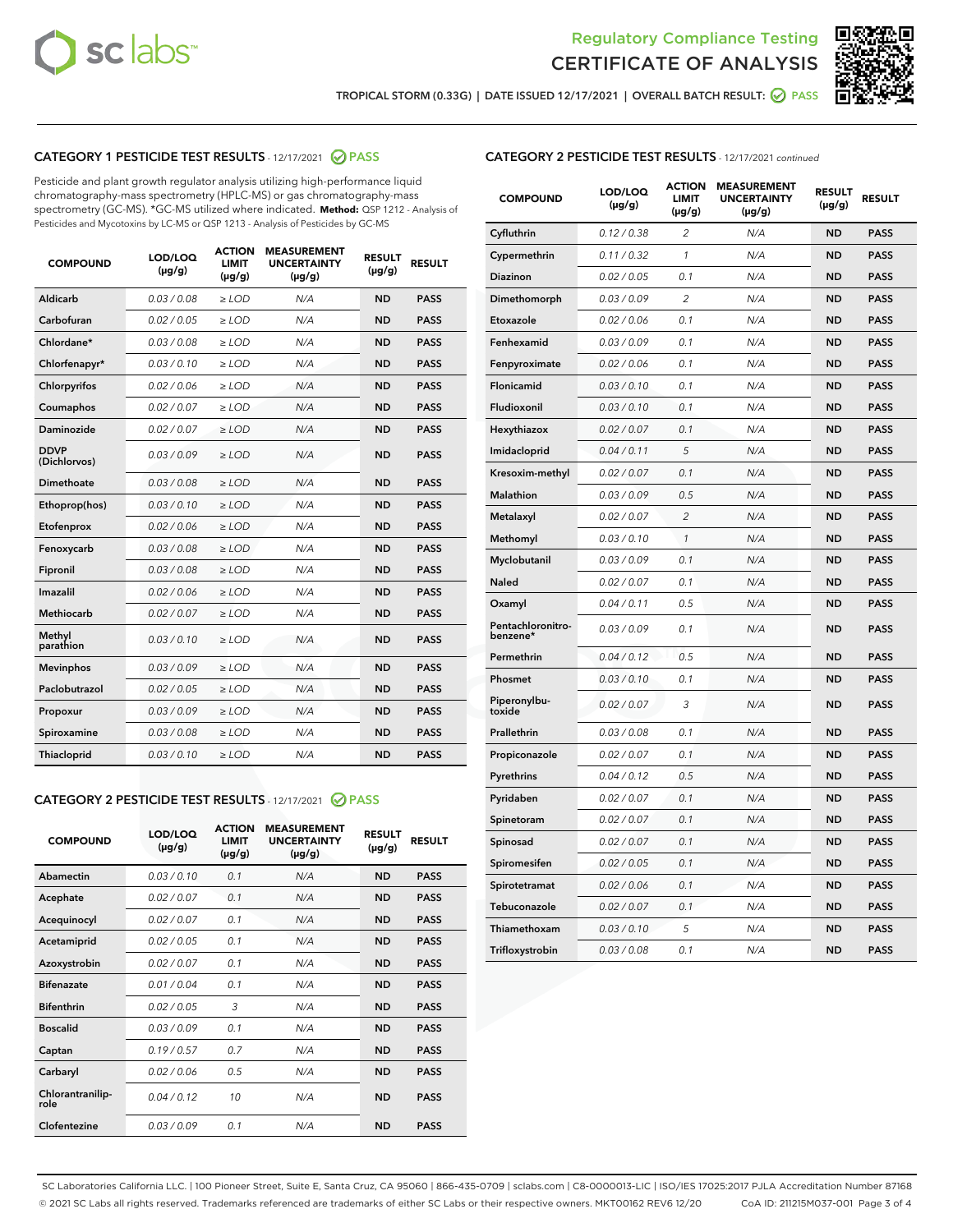



TROPICAL STORM (0.33G) | DATE ISSUED 12/17/2021 | OVERALL BATCH RESULT: ☑ PASS

# CATEGORY 1 PESTICIDE TEST RESULTS - 12/17/2021 @ PASS

Pesticide and plant growth regulator analysis utilizing high-performance liquid chromatography-mass spectrometry (HPLC-MS) or gas chromatography-mass spectrometry (GC-MS). \*GC-MS utilized where indicated. **Method:** QSP 1212 - Analysis of Pesticides and Mycotoxins by LC-MS or QSP 1213 - Analysis of Pesticides by GC-MS

| <b>Aldicarb</b><br>0.03 / 0.08<br><b>ND</b><br>$\ge$ LOD<br>N/A<br><b>PASS</b><br>Carbofuran<br>0.02/0.05<br>$\ge$ LOD<br>N/A<br><b>ND</b><br><b>PASS</b><br>Chlordane*<br>0.03 / 0.08<br><b>ND</b><br>$>$ LOD<br>N/A<br><b>PASS</b><br>0.03/0.10<br><b>ND</b><br><b>PASS</b><br>Chlorfenapyr*<br>$\geq$ LOD<br>N/A<br>0.02 / 0.06<br>N/A<br><b>ND</b><br><b>PASS</b><br>Chlorpyrifos<br>$\geq$ LOD<br>0.02 / 0.07<br>N/A<br><b>ND</b><br><b>PASS</b><br>Coumaphos<br>$>$ LOD<br>Daminozide<br>0.02 / 0.07<br>$\ge$ LOD<br>N/A<br><b>ND</b><br><b>PASS</b><br><b>DDVP</b><br>0.03/0.09<br>$\ge$ LOD<br>N/A<br><b>ND</b><br><b>PASS</b><br>(Dichlorvos)<br>Dimethoate<br><b>ND</b><br><b>PASS</b><br>0.03 / 0.08<br>$>$ LOD<br>N/A<br>0.03/0.10<br>Ethoprop(hos)<br>$\ge$ LOD<br>N/A<br><b>ND</b><br><b>PASS</b><br>0.02 / 0.06<br>$\ge$ LOD<br>N/A<br><b>ND</b><br><b>PASS</b><br>Etofenprox<br>Fenoxycarb<br>0.03 / 0.08<br>$>$ LOD<br>N/A<br><b>ND</b><br><b>PASS</b><br>0.03 / 0.08<br><b>ND</b><br><b>PASS</b><br>Fipronil<br>$\ge$ LOD<br>N/A<br>Imazalil<br>0.02 / 0.06<br>$>$ LOD<br>N/A<br><b>ND</b><br><b>PASS</b><br>0.02 / 0.07<br>Methiocarb<br>N/A<br><b>ND</b><br>$>$ LOD<br><b>PASS</b><br>Methyl<br>0.03/0.10<br>$\ge$ LOD<br>N/A<br><b>ND</b><br><b>PASS</b><br>parathion<br>0.03/0.09<br>$\ge$ LOD<br>N/A<br><b>ND</b><br><b>PASS</b><br><b>Mevinphos</b><br>Paclobutrazol<br>0.02 / 0.05<br>$\ge$ LOD<br>N/A<br><b>ND</b><br><b>PASS</b><br>0.03/0.09<br>N/A<br>$\ge$ LOD<br><b>ND</b><br><b>PASS</b><br>Propoxur<br>0.03 / 0.08<br><b>ND</b><br><b>PASS</b><br>Spiroxamine<br>$\ge$ LOD<br>N/A<br><b>PASS</b><br>Thiacloprid<br>0.03/0.10<br>$\ge$ LOD<br>N/A<br><b>ND</b> | <b>COMPOUND</b> | LOD/LOQ<br>$(\mu g/g)$ | <b>ACTION</b><br>LIMIT<br>$(\mu g/g)$ | <b>MEASUREMENT</b><br><b>UNCERTAINTY</b><br>$(\mu g/g)$ | <b>RESULT</b><br>$(\mu g/g)$ | <b>RESULT</b> |
|------------------------------------------------------------------------------------------------------------------------------------------------------------------------------------------------------------------------------------------------------------------------------------------------------------------------------------------------------------------------------------------------------------------------------------------------------------------------------------------------------------------------------------------------------------------------------------------------------------------------------------------------------------------------------------------------------------------------------------------------------------------------------------------------------------------------------------------------------------------------------------------------------------------------------------------------------------------------------------------------------------------------------------------------------------------------------------------------------------------------------------------------------------------------------------------------------------------------------------------------------------------------------------------------------------------------------------------------------------------------------------------------------------------------------------------------------------------------------------------------------------------------------------------------------------------------------------------------------------------------------------------------------------------------------------------------|-----------------|------------------------|---------------------------------------|---------------------------------------------------------|------------------------------|---------------|
|                                                                                                                                                                                                                                                                                                                                                                                                                                                                                                                                                                                                                                                                                                                                                                                                                                                                                                                                                                                                                                                                                                                                                                                                                                                                                                                                                                                                                                                                                                                                                                                                                                                                                                |                 |                        |                                       |                                                         |                              |               |
|                                                                                                                                                                                                                                                                                                                                                                                                                                                                                                                                                                                                                                                                                                                                                                                                                                                                                                                                                                                                                                                                                                                                                                                                                                                                                                                                                                                                                                                                                                                                                                                                                                                                                                |                 |                        |                                       |                                                         |                              |               |
|                                                                                                                                                                                                                                                                                                                                                                                                                                                                                                                                                                                                                                                                                                                                                                                                                                                                                                                                                                                                                                                                                                                                                                                                                                                                                                                                                                                                                                                                                                                                                                                                                                                                                                |                 |                        |                                       |                                                         |                              |               |
|                                                                                                                                                                                                                                                                                                                                                                                                                                                                                                                                                                                                                                                                                                                                                                                                                                                                                                                                                                                                                                                                                                                                                                                                                                                                                                                                                                                                                                                                                                                                                                                                                                                                                                |                 |                        |                                       |                                                         |                              |               |
|                                                                                                                                                                                                                                                                                                                                                                                                                                                                                                                                                                                                                                                                                                                                                                                                                                                                                                                                                                                                                                                                                                                                                                                                                                                                                                                                                                                                                                                                                                                                                                                                                                                                                                |                 |                        |                                       |                                                         |                              |               |
|                                                                                                                                                                                                                                                                                                                                                                                                                                                                                                                                                                                                                                                                                                                                                                                                                                                                                                                                                                                                                                                                                                                                                                                                                                                                                                                                                                                                                                                                                                                                                                                                                                                                                                |                 |                        |                                       |                                                         |                              |               |
|                                                                                                                                                                                                                                                                                                                                                                                                                                                                                                                                                                                                                                                                                                                                                                                                                                                                                                                                                                                                                                                                                                                                                                                                                                                                                                                                                                                                                                                                                                                                                                                                                                                                                                |                 |                        |                                       |                                                         |                              |               |
|                                                                                                                                                                                                                                                                                                                                                                                                                                                                                                                                                                                                                                                                                                                                                                                                                                                                                                                                                                                                                                                                                                                                                                                                                                                                                                                                                                                                                                                                                                                                                                                                                                                                                                |                 |                        |                                       |                                                         |                              |               |
|                                                                                                                                                                                                                                                                                                                                                                                                                                                                                                                                                                                                                                                                                                                                                                                                                                                                                                                                                                                                                                                                                                                                                                                                                                                                                                                                                                                                                                                                                                                                                                                                                                                                                                |                 |                        |                                       |                                                         |                              |               |
|                                                                                                                                                                                                                                                                                                                                                                                                                                                                                                                                                                                                                                                                                                                                                                                                                                                                                                                                                                                                                                                                                                                                                                                                                                                                                                                                                                                                                                                                                                                                                                                                                                                                                                |                 |                        |                                       |                                                         |                              |               |
|                                                                                                                                                                                                                                                                                                                                                                                                                                                                                                                                                                                                                                                                                                                                                                                                                                                                                                                                                                                                                                                                                                                                                                                                                                                                                                                                                                                                                                                                                                                                                                                                                                                                                                |                 |                        |                                       |                                                         |                              |               |
|                                                                                                                                                                                                                                                                                                                                                                                                                                                                                                                                                                                                                                                                                                                                                                                                                                                                                                                                                                                                                                                                                                                                                                                                                                                                                                                                                                                                                                                                                                                                                                                                                                                                                                |                 |                        |                                       |                                                         |                              |               |
|                                                                                                                                                                                                                                                                                                                                                                                                                                                                                                                                                                                                                                                                                                                                                                                                                                                                                                                                                                                                                                                                                                                                                                                                                                                                                                                                                                                                                                                                                                                                                                                                                                                                                                |                 |                        |                                       |                                                         |                              |               |
|                                                                                                                                                                                                                                                                                                                                                                                                                                                                                                                                                                                                                                                                                                                                                                                                                                                                                                                                                                                                                                                                                                                                                                                                                                                                                                                                                                                                                                                                                                                                                                                                                                                                                                |                 |                        |                                       |                                                         |                              |               |
|                                                                                                                                                                                                                                                                                                                                                                                                                                                                                                                                                                                                                                                                                                                                                                                                                                                                                                                                                                                                                                                                                                                                                                                                                                                                                                                                                                                                                                                                                                                                                                                                                                                                                                |                 |                        |                                       |                                                         |                              |               |
|                                                                                                                                                                                                                                                                                                                                                                                                                                                                                                                                                                                                                                                                                                                                                                                                                                                                                                                                                                                                                                                                                                                                                                                                                                                                                                                                                                                                                                                                                                                                                                                                                                                                                                |                 |                        |                                       |                                                         |                              |               |
|                                                                                                                                                                                                                                                                                                                                                                                                                                                                                                                                                                                                                                                                                                                                                                                                                                                                                                                                                                                                                                                                                                                                                                                                                                                                                                                                                                                                                                                                                                                                                                                                                                                                                                |                 |                        |                                       |                                                         |                              |               |
|                                                                                                                                                                                                                                                                                                                                                                                                                                                                                                                                                                                                                                                                                                                                                                                                                                                                                                                                                                                                                                                                                                                                                                                                                                                                                                                                                                                                                                                                                                                                                                                                                                                                                                |                 |                        |                                       |                                                         |                              |               |
|                                                                                                                                                                                                                                                                                                                                                                                                                                                                                                                                                                                                                                                                                                                                                                                                                                                                                                                                                                                                                                                                                                                                                                                                                                                                                                                                                                                                                                                                                                                                                                                                                                                                                                |                 |                        |                                       |                                                         |                              |               |
|                                                                                                                                                                                                                                                                                                                                                                                                                                                                                                                                                                                                                                                                                                                                                                                                                                                                                                                                                                                                                                                                                                                                                                                                                                                                                                                                                                                                                                                                                                                                                                                                                                                                                                |                 |                        |                                       |                                                         |                              |               |
|                                                                                                                                                                                                                                                                                                                                                                                                                                                                                                                                                                                                                                                                                                                                                                                                                                                                                                                                                                                                                                                                                                                                                                                                                                                                                                                                                                                                                                                                                                                                                                                                                                                                                                |                 |                        |                                       |                                                         |                              |               |

#### CATEGORY 2 PESTICIDE TEST RESULTS - 12/17/2021 @ PASS

| <b>COMPOUND</b>          | LOD/LOO<br>$(\mu g/g)$ | <b>ACTION</b><br>LIMIT<br>$(\mu g/g)$ | <b>MEASUREMENT</b><br><b>UNCERTAINTY</b><br>$(\mu g/g)$ | <b>RESULT</b><br>$(\mu g/g)$ | <b>RESULT</b> |  |
|--------------------------|------------------------|---------------------------------------|---------------------------------------------------------|------------------------------|---------------|--|
| Abamectin                | 0.03/0.10              | 0.1                                   | N/A                                                     | <b>ND</b>                    | <b>PASS</b>   |  |
| Acephate                 | 0.02/0.07              | 0.1                                   | N/A                                                     | <b>ND</b>                    | <b>PASS</b>   |  |
| Acequinocyl              | 0.02/0.07              | 0.1                                   | N/A                                                     | <b>ND</b>                    | <b>PASS</b>   |  |
| Acetamiprid              | 0.02 / 0.05            | 0.1                                   | N/A                                                     | <b>ND</b>                    | <b>PASS</b>   |  |
| Azoxystrobin             | 0.02/0.07              | 0.1                                   | N/A                                                     | <b>ND</b>                    | <b>PASS</b>   |  |
| <b>Bifenazate</b>        | 0.01 / 0.04            | 0.1                                   | N/A                                                     | <b>ND</b>                    | <b>PASS</b>   |  |
| <b>Bifenthrin</b>        | 0.02 / 0.05            | 3                                     | N/A                                                     | <b>ND</b>                    | <b>PASS</b>   |  |
| <b>Boscalid</b>          | 0.03/0.09              | 0.1                                   | N/A                                                     | <b>ND</b>                    | <b>PASS</b>   |  |
| Captan                   | 0.19/0.57              | 0.7                                   | N/A                                                     | <b>ND</b>                    | <b>PASS</b>   |  |
| Carbaryl                 | 0.02/0.06              | 0.5                                   | N/A                                                     | <b>ND</b>                    | <b>PASS</b>   |  |
| Chlorantranilip-<br>role | 0.04/0.12              | 10                                    | N/A                                                     | <b>ND</b>                    | <b>PASS</b>   |  |
| Clofentezine             | 0.03/0.09              | 0.1                                   | N/A                                                     | <b>ND</b>                    | <b>PASS</b>   |  |

# CATEGORY 2 PESTICIDE TEST RESULTS - 12/17/2021 continued

| <b>COMPOUND</b>               | LOD/LOQ<br>(µg/g) | <b>ACTION</b><br><b>LIMIT</b><br>$(\mu g/g)$ | <b>MEASUREMENT</b><br><b>UNCERTAINTY</b><br>$(\mu g/g)$ | <b>RESULT</b><br>(µg/g) | <b>RESULT</b> |
|-------------------------------|-------------------|----------------------------------------------|---------------------------------------------------------|-------------------------|---------------|
| Cyfluthrin                    | 0.12 / 0.38       | $\overline{c}$                               | N/A                                                     | ND                      | <b>PASS</b>   |
| Cypermethrin                  | 0.11 / 0.32       | $\mathcal{I}$                                | N/A                                                     | ND                      | <b>PASS</b>   |
| <b>Diazinon</b>               | 0.02 / 0.05       | 0.1                                          | N/A                                                     | <b>ND</b>               | <b>PASS</b>   |
| Dimethomorph                  | 0.03 / 0.09       | 2                                            | N/A                                                     | ND                      | <b>PASS</b>   |
| Etoxazole                     | 0.02 / 0.06       | 0.1                                          | N/A                                                     | ND                      | <b>PASS</b>   |
| Fenhexamid                    | 0.03 / 0.09       | 0.1                                          | N/A                                                     | ND                      | <b>PASS</b>   |
| Fenpyroximate                 | 0.02 / 0.06       | 0.1                                          | N/A                                                     | <b>ND</b>               | <b>PASS</b>   |
| Flonicamid                    | 0.03 / 0.10       | 0.1                                          | N/A                                                     | ND                      | <b>PASS</b>   |
| Fludioxonil                   | 0.03 / 0.10       | 0.1                                          | N/A                                                     | ND                      | <b>PASS</b>   |
| Hexythiazox                   | 0.02 / 0.07       | 0.1                                          | N/A                                                     | ND                      | <b>PASS</b>   |
| Imidacloprid                  | 0.04 / 0.11       | 5                                            | N/A                                                     | ND                      | <b>PASS</b>   |
| Kresoxim-methyl               | 0.02 / 0.07       | 0.1                                          | N/A                                                     | ND                      | <b>PASS</b>   |
| Malathion                     | 0.03 / 0.09       | 0.5                                          | N/A                                                     | ND                      | <b>PASS</b>   |
| Metalaxyl                     | 0.02 / 0.07       | $\overline{c}$                               | N/A                                                     | ND                      | <b>PASS</b>   |
| Methomyl                      | 0.03 / 0.10       | $\mathbf{1}$                                 | N/A                                                     | ND                      | <b>PASS</b>   |
| Myclobutanil                  | 0.03 / 0.09       | 0.1                                          | N/A                                                     | <b>ND</b>               | <b>PASS</b>   |
| Naled                         | 0.02 / 0.07       | 0.1                                          | N/A                                                     | ND                      | <b>PASS</b>   |
| Oxamyl                        | 0.04 / 0.11       | 0.5                                          | N/A                                                     | ND                      | PASS          |
| Pentachloronitro-<br>benzene* | 0.03 / 0.09       | 0.1                                          | N/A                                                     | ND                      | <b>PASS</b>   |
| Permethrin                    | 0.04 / 0.12       | 0.5                                          | N/A                                                     | ND                      | <b>PASS</b>   |
| Phosmet                       | 0.03 / 0.10       | 0.1                                          | N/A                                                     | ND                      | <b>PASS</b>   |
| Piperonylbu-<br>toxide        | 0.02 / 0.07       | 3                                            | N/A                                                     | <b>ND</b>               | <b>PASS</b>   |
| Prallethrin                   | 0.03 / 0.08       | 0.1                                          | N/A                                                     | ND                      | <b>PASS</b>   |
| Propiconazole                 | 0.02 / 0.07       | 0.1                                          | N/A                                                     | <b>ND</b>               | <b>PASS</b>   |
| Pyrethrins                    | 0.04 / 0.12       | 0.5                                          | N/A                                                     | ND                      | <b>PASS</b>   |
| Pyridaben                     | 0.02 / 0.07       | 0.1                                          | N/A                                                     | <b>ND</b>               | <b>PASS</b>   |
| Spinetoram                    | 0.02 / 0.07       | 0.1                                          | N/A                                                     | ND                      | <b>PASS</b>   |
| Spinosad                      | 0.02 / 0.07       | 0.1                                          | N/A                                                     | ND                      | <b>PASS</b>   |
| Spiromesifen                  | 0.02 / 0.05       | 0.1                                          | N/A                                                     | <b>ND</b>               | <b>PASS</b>   |
| Spirotetramat                 | 0.02 / 0.06       | 0.1                                          | N/A                                                     | ND                      | <b>PASS</b>   |
| Tebuconazole                  | 0.02 / 0.07       | 0.1                                          | N/A                                                     | ND                      | <b>PASS</b>   |
| Thiamethoxam                  | 0.03 / 0.10       | 5                                            | N/A                                                     | <b>ND</b>               | <b>PASS</b>   |
| Trifloxystrobin               | 0.03 / 0.08       | 0.1                                          | N/A                                                     | <b>ND</b>               | <b>PASS</b>   |

SC Laboratories California LLC. | 100 Pioneer Street, Suite E, Santa Cruz, CA 95060 | 866-435-0709 | sclabs.com | C8-0000013-LIC | ISO/IES 17025:2017 PJLA Accreditation Number 87168 © 2021 SC Labs all rights reserved. Trademarks referenced are trademarks of either SC Labs or their respective owners. MKT00162 REV6 12/20 CoA ID: 211215M037-001 Page 3 of 4